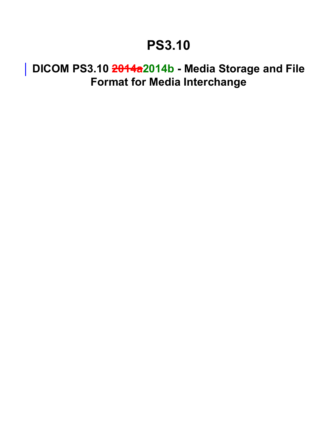## **PS3.10**

## **DICOM PS3.10 2014a2014b - Media Storage and File Format for Media Interchange**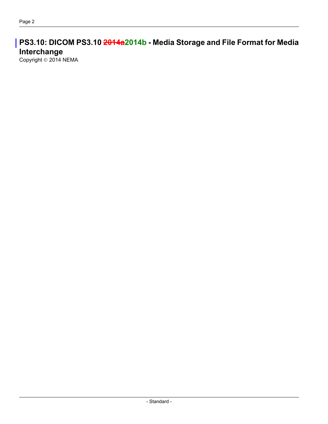**PS3.10: DICOM PS3.10 2014a2014b - Media Storage and File Format for Media Interchange**

Copyright © 2014 NEMA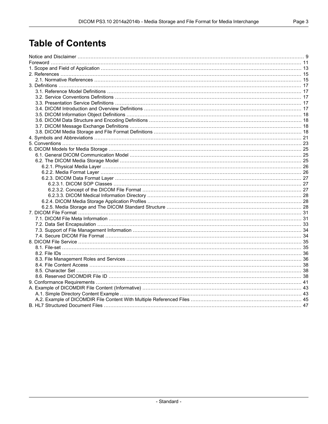### **Table of Contents**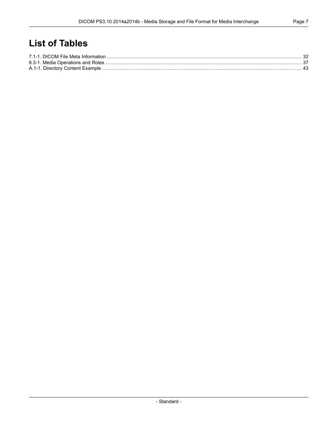### **List of Tables**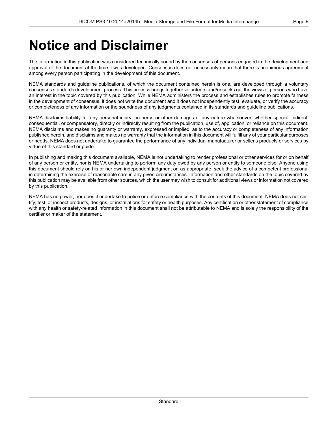# <span id="page-8-0"></span>**Notice and Disclaimer**

The information in this publication was considered technically sound by the consensus of persons engaged in the development and approval of the document at the time it was developed. Consensus does not necessarily mean that there is unanimous agreement among every person participating in the development of this document.

NEMA standards and guideline publications, of which the document contained herein is one, are developed through a voluntary consensus standards development process. This process brings together volunteers and/or seeks out the views of persons who have an interest in the topic covered by this publication. While NEMA administers the process and establishes rules to promote fairness in the development of consensus, it does not write the document and it does not independently test, evaluate, or verify the accuracy or completeness of any information or the soundness of any judgments contained in its standards and guideline publications.

NEMA disclaims liability for any personal injury, property, or other damages of any nature whatsoever, whether special, indirect, consequential, or compensatory, directly or indirectly resulting from the publication, use of, application, or reliance on this document. NEMA disclaims and makes no guaranty or warranty, expressed or implied, as to the accuracy or completeness of any information published herein, and disclaims and makes no warranty that the information in this document will fulfill any of your particular purposes or needs. NEMA does not undertake to guarantee the performance of any individual manufacturer or seller's products or services by virtue of this standard or guide.

In publishing and making this document available, NEMA is not undertaking to render professional or other services for or on behalf of any person or entity, nor is NEMA undertaking to perform any duty owed by any person or entity to someone else. Anyone using this document should rely on his or her own independent judgment or, as appropriate, seek the advice of a competent professional in determining the exercise of reasonable care in any given circumstances. Information and other standards on the topic covered by this publication may be available from other sources, which the user may wish to consult for additional views or information not covered by this publication.

NEMA has no power, nor does it undertake to police or enforce compliance with the contents of this document. NEMA does not certify, test, or inspect products, designs, or installations for safety or health purposes. Any certification or other statement of compliance with any health or safety-related information in this document shall not be attributable to NEMA and is solely the responsibility of the certifier or maker of the statement.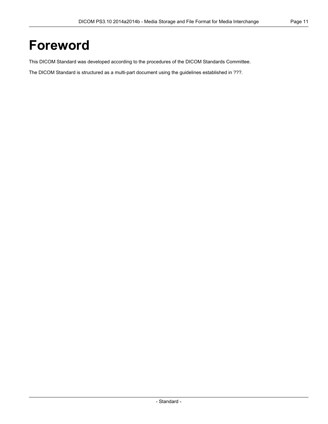# <span id="page-10-0"></span>**Foreword**

This DICOM Standard was developed according to the procedures of the DICOM Standards Committee.

The DICOM Standard is structured as a multi-part document using the guidelines established in ???.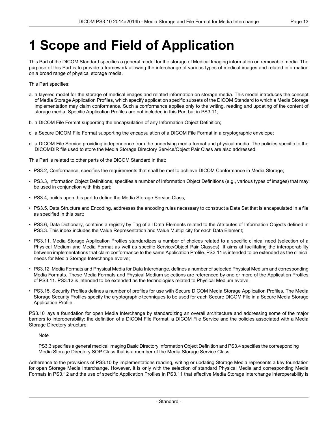# <span id="page-12-0"></span>**1 Scope and Field of Application**

This Part of the DICOM Standard specifies a general model for the storage of Medical Imaging information on removable media. The purpose of this Part is to provide a framework allowing the interchange of various types of medical images and related information on a broad range of physical storage media.

This Part specifies:

- a. a layered model for the storage of medical images and related information on storage media. This model introduces the concept of Media Storage Application Profiles, which specify application specific subsets of the DICOM Standard to which a Media Storage implementation may claim conformance. Such a conformance applies only to the writing, reading and updating of the content of storage media. Specific Application Profiles are not included in this Part but in [PS3.11](part11.pdf#PS3.11);
- b. a DICOM File Format supporting the encapsulation of any Information Object Definition;
- c. a Secure DICOM File Format supporting the encapsulation of a DICOM File Format in a cryptographic envelope;
- d. a DICOM File Service providing independence from the underlying media format and physical media. The policies specific to the DICOMDIR file used to store the Media Storage Directory Service/Object Pair Class are also addressed.

This Part is related to other parts of the DICOM Standard in that:

- [PS3.2](part02.pdf#PS3.2), Conformance, specifies the requirements that shall be met to achieve DICOM Conformance in Media Storage;
- [PS3.3](part03.pdf#PS3.3), Information Object Definitions, specifies a number of Information Object Definitions (e.g., various types of images) that may be used in conjunction with this part;
- [PS3.4](part04.pdf#PS3.4), builds upon this part to define the Media Storage Service Class;
- [PS3.5](part05.pdf#PS3.5), Data Structure and Encoding, addresses the encoding rules necessary to construct a Data Set that is encapsulated in a file as specified in this part;
- [PS3.6](part06.pdf#PS3.6), Data Dictionary, contains a registry by Tag of all Data Elements related to the Attributes of Information Objects defined in [PS3.3](part03.pdf#PS3.3). This index includes the Value Representation and Value Multiplicity for each Data Element;
- [PS3.11](part11.pdf#PS3.11), Media Storage Application Profiles standardizes a number of choices related to a specific clinical need (selection of a Physical Medium and Media Format as well as specific Service/Object Pair Classes). It aims at facilitating the interoperability between implementations that claim conformance to the same Application Profile. [PS3.11](part11.pdf#PS3.11) is intended to be extended as the clinical needs for Media Storage Interchange evolve;
- [PS3.12](part12.pdf#PS3.12), Media Formats and Physical Media for Data Interchange, defines a number of selected Physical Medium and corresponding Media Formats. These Media Formats and Physical Medium selections are referenced by one or more of the Application Profiles of [PS3.11](part11.pdf#PS3.11). [PS3.12](part12.pdf#PS3.12) is intended to be extended as the technologies related to Physical Medium evolve.
- [PS3.15](part15.pdf#PS3.15), Security Profiles defines a number of profiles for use with Secure DICOM Media Storage Application Profiles. The Media Storage Security Profiles specify the cryptographic techniques to be used for each Secure DICOM File in a Secure Media Storage Application Profile.

PS3.10 lays a foundation for open Media Interchange by standardizing an overall architecture and addressing some of the major barriers to interoperability: the definition of a DICOM File Format, a DICOM File Service and the policies associated with a Media Storage Directory structure.

Note

[PS3.3](part03.pdf#PS3.3) specifies a general medical imaging Basic Directory Information Object Definition and [PS3.4](part04.pdf#PS3.4) specifies the corresponding Media Storage Directory SOP Class that is a member of the Media Storage Service Class.

Adherence to the provisions of PS3.10 by implementations reading, writing or updating Storage Media represents a key foundation for open Storage Media Interchange. However, it is only with the selection of standard Physical Media and corresponding Media Formats in [PS3.12](part12.pdf#PS3.12) and the use of specific Application Profiles in [PS3.11](part11.pdf#PS3.11) that effective Media Storage Interchange interoperability is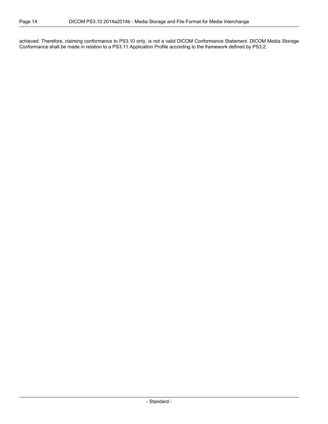achieved. Therefore, claiming conformance to PS3.10 only, is not a valid DICOM Conformance Statement. DICOM Media Storage Conformance shall be made in relation to a [PS3.11](part11.pdf#PS3.11) Application Profile according to the framework defined by [PS3.2.](part02.pdf#PS3.2)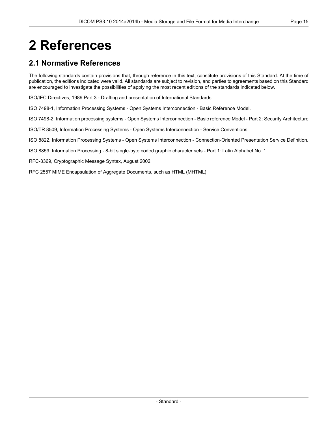# <span id="page-14-0"></span>**2 References**

### <span id="page-14-1"></span>**2.1 Normative References**

The following standards contain provisions that, through reference in this text, constitute provisions of this Standard. At the time of publication, the editions indicated were valid. All standards are subject to revision, and parties to agreements based on this Standard are encouraged to investigate the possibilities of applying the most recent editions of the standards indicated below.

ISO/IEC Directives, 1989 Part 3 - Drafting and presentation of International Standards.

ISO 7498-1, Information Processing Systems - Open Systems Interconnection - Basic Reference Model.

ISO 7498-2, Information processing systems - Open Systems Interconnection - Basic reference Model - Part 2: Security Architecture

ISO/TR 8509, Information Processing Systems - Open Systems Interconnection - Service Conventions

ISO 8822, Information Processing Systems - Open Systems Interconnection - Connection-Oriented Presentation Service Definition.

ISO 8859, Information Processing - 8-bit single-byte coded graphic character sets - Part 1: Latin Alphabet No. 1

RFC-3369, Cryptographic Message Syntax, August 2002

RFC 2557 MIME Encapsulation of Aggregate Documents, such as HTML (MHTML)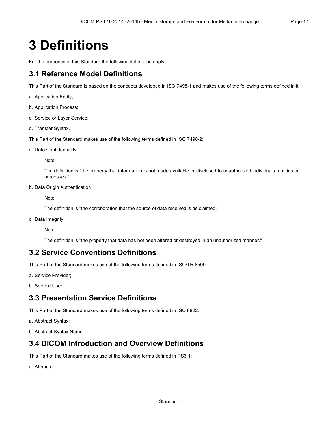# <span id="page-16-0"></span>**3 Definitions**

<span id="page-16-1"></span>For the purposes of this Standard the following definitions apply.

### **3.1 Reference Model Definitions**

This Part of the Standard is based on the concepts developed in ISO 7498-1 and makes use of the following terms defined in it:

- a. Application Entity;
- b. Application Process;
- c. Service or Layer Service;
- d. Transfer Syntax.

This Part of the Standard makes use of the following terms defined in ISO 7498-2:

a. Data Confidentiality

Note

The definition is "the property that information is not made available or disclosed to unauthorized individuals, entities or processes."

b. Data Origin Authentication

**Note** 

The definition is "the corroboration that the source of data received is as claimed."

<span id="page-16-2"></span>c. Data Integrity

Note

The definition is "the property that data has not been altered or destroyed in an unauthorized manner."

#### **3.2 Service Conventions Definitions**

<span id="page-16-3"></span>This Part of the Standard makes use of the following terms defined in ISO/TR 8509:

a. Service Provider;

b. Service User.

#### **3.3 Presentation Service Definitions**

<span id="page-16-4"></span>This Part of the Standard makes use of the following terms defined in ISO 8822:

- a. Abstract Syntax;
- b. Abstract Syntax Name.

#### **3.4 DICOM Introduction and Overview Definitions**

This Part of the Standard makes use of the following terms defined in [PS3.1:](part01.pdf#PS3.1)

a. Attribute.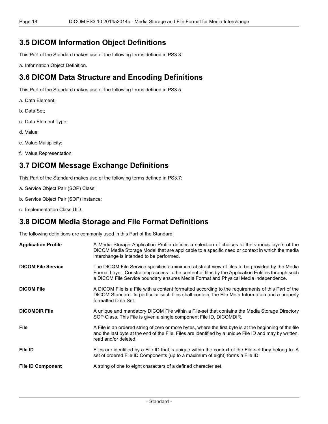#### <span id="page-17-0"></span>**3.5 DICOM Information Object Definitions**

This Part of the Standard makes use of the following terms defined in [PS3.3:](part03.pdf#PS3.3)

<span id="page-17-1"></span>a. Information Object Definition.

### **3.6 DICOM Data Structure and Encoding Definitions**

This Part of the Standard makes use of the following terms defined in [PS3.5:](part05.pdf#PS3.5)

- a. Data Element;
- b. Data Set;
- c. Data Element Type;
- d. Value;
- <span id="page-17-2"></span>e. Value Multiplicity;
- f. Value Representation;

### **3.7 DICOM Message Exchange Definitions**

This Part of the Standard makes use of the following terms defined in [PS3.7:](part07.pdf#PS3.7)

- a. Service Object Pair (SOP) Class;
- <span id="page-17-3"></span>b. Service Object Pair (SOP) Instance;
- c. Implementation Class UID.

#### **3.8 DICOM Media Storage and File Format Definitions**

The following definitions are commonly used in this Part of the Standard:

| <b>Application Profile</b> | A Media Storage Application Profile defines a selection of choices at the various layers of the<br>DICOM Media Storage Model that are applicable to a specific need or context in which the media<br>interchange is intended to be performed.                                              |
|----------------------------|--------------------------------------------------------------------------------------------------------------------------------------------------------------------------------------------------------------------------------------------------------------------------------------------|
| <b>DICOM File Service</b>  | The DICOM File Service specifies a minimum abstract view of files to be provided by the Media<br>Format Layer. Constraining access to the content of files by the Application Entities through such<br>a DICOM File Service boundary ensures Media Format and Physical Media independence. |
| <b>DICOM File</b>          | A DICOM File is a File with a content formatted according to the requirements of this Part of the<br>DICOM Standard. In particular such files shall contain, the File Meta Information and a properly<br>formatted Data Set.                                                               |
| <b>DICOMDIR File</b>       | A unique and mandatory DICOM File within a File-set that contains the Media Storage Directory<br>SOP Class. This File is given a single component File ID, DICOMDIR.                                                                                                                       |
| <b>File</b>                | A File is an ordered string of zero or more bytes, where the first byte is at the beginning of the file<br>and the last byte at the end of the File. Files are identified by a unique File ID and may by written,<br>read and/or deleted.                                                  |
| <b>File ID</b>             | Files are identified by a File ID that is unique within the context of the File-set they belong to. A<br>set of ordered File ID Components (up to a maximum of eight) forms a File ID.                                                                                                     |
| <b>File ID Component</b>   | A string of one to eight characters of a defined character set.                                                                                                                                                                                                                            |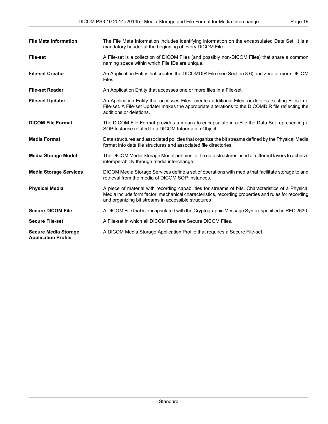| <b>File Meta Information</b>                              | The File Meta Information includes identifying information on the encapsulated Data Set. It is a<br>mandatory header at the beginning of every DICOM File.                                                                                                       |
|-----------------------------------------------------------|------------------------------------------------------------------------------------------------------------------------------------------------------------------------------------------------------------------------------------------------------------------|
| <b>File-set</b>                                           | A File-set is a collection of DICOM Files (and possibly non-DICOM Files) that share a common<br>naming space within which File IDs are unique.                                                                                                                   |
| <b>File-set Creator</b>                                   | An Application Entity that creates the DICOMDIR File (see Section 8.6) and zero or more DICOM<br>Files.                                                                                                                                                          |
| <b>File-set Reader</b>                                    | An Application Entity that accesses one or more files in a File-set.                                                                                                                                                                                             |
| <b>File-set Updater</b>                                   | An Application Entity that accesses Files, creates additional Files, or deletes existing Files in a<br>File-set. A File-set Updater makes the appropriate alterations to the DICOMDIR file reflecting the<br>additions or deletions.                             |
| <b>DICOM File Format</b>                                  | The DICOM File Format provides a means to encapsulate in a File the Data Set representing a<br>SOP Instance related to a DICOM Information Object.                                                                                                               |
| <b>Media Format</b>                                       | Data structures and associated policies that organize the bit streams defined by the Physical Media<br>format into data file structures and associated file directories.                                                                                         |
| <b>Media Storage Model</b>                                | The DICOM Media Storage Model pertains to the data structures used at different layers to achieve<br>interoperability through media interchange.                                                                                                                 |
| <b>Media Storage Services</b>                             | DICOM Media Storage Services define a set of operations with media that facilitate storage to and<br>retrieval from the media of DICOM SOP Instances.                                                                                                            |
| <b>Physical Media</b>                                     | A piece of material with recording capabilities for streams of bits. Characteristics of a Physical<br>Media include form factor, mechanical characteristics, recording properties and rules for recording<br>and organizing bit streams in accessible structures |
| <b>Secure DICOM File</b>                                  | A DICOM File that is encapsulated with the Cryptographic Message Syntax specified in RFC 2630.                                                                                                                                                                   |
| <b>Secure File-set</b>                                    | A File-set in which all DICOM Files are Secure DICOM Files.                                                                                                                                                                                                      |
| <b>Secure Media Storage</b><br><b>Application Profile</b> | A DICOM Media Storage Application Profile that requires a Secure File-set.                                                                                                                                                                                       |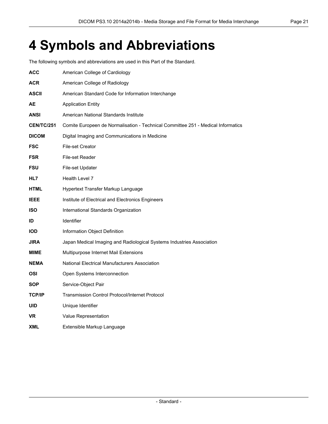# <span id="page-20-0"></span>**4 Symbols and Abbreviations**

The following symbols and abbreviations are used in this Part of the Standard.

| <b>ACC</b>        | American College of Cardiology                                                   |
|-------------------|----------------------------------------------------------------------------------|
| ACR               | American College of Radiology                                                    |
| ASCII             | American Standard Code for Information Interchange                               |
| AЕ                | <b>Application Entity</b>                                                        |
| ANSI              | American National Standards Institute                                            |
| <b>CEN/TC/251</b> | Comite Europeen de Normalisation - Technical Committee 251 - Medical Informatics |
| <b>DICOM</b>      | Digital Imaging and Communications in Medicine                                   |
| <b>FSC</b>        | <b>File-set Creator</b>                                                          |
| <b>FSR</b>        | File-set Reader                                                                  |
| <b>FSU</b>        | File-set Updater                                                                 |
| HL7               | Health Level 7                                                                   |
| HTML              | Hypertext Transfer Markup Language                                               |
| <b>IEEE</b>       | Institute of Electrical and Electronics Engineers                                |
| <b>ISO</b>        | International Standards Organization                                             |
| ID                | Identifier                                                                       |
| <b>IOD</b>        | Information Object Definition                                                    |
| <b>JIRA</b>       | Japan Medical Imaging and Radiological Systems Industries Association            |
| <b>MIME</b>       | Multipurpose Internet Mail Extensions                                            |
| <b>NEMA</b>       | National Electrical Manufacturers Association                                    |
| OSI               | Open Systems Interconnection                                                     |
| <b>SOP</b>        | Service-Object Pair                                                              |
| <b>TCP/IP</b>     | <b>Transmission Control Protocol/Internet Protocol</b>                           |
| <b>UID</b>        | Unique Identifier                                                                |
| <b>VR</b>         | Value Representation                                                             |
| <b>XML</b>        | Extensible Markup Language                                                       |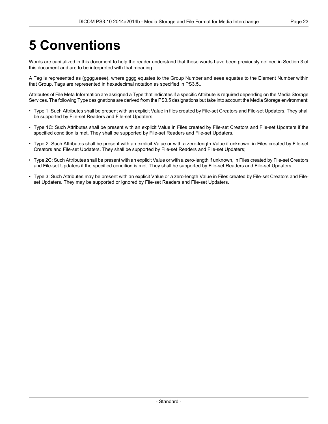# <span id="page-22-0"></span>**5 Conventions**

Words are capitalized in this document to help the reader understand that these words have been previously defined in Section 3 of this document and are to be interpreted with that meaning.

A Tag is represented as (gggg,eeee), where gggg equates to the Group Number and eeee equates to the Element Number within that Group. Tags are represented in hexadecimal notation as specified in [PS3.5.](part05.pdf#PS3.5).

Attributes of File Meta Information are assigned a Type that indicates if a specific Attribute is required depending on the Media Storage Services. The following Type designations are derived from the [PS3.5](part05.pdf#PS3.5) designations but take into account the Media Storage environment:

- Type 1: Such Attributes shall be present with an explicit Value in files created by File-set Creators and File-set Updaters. They shall be supported by File-set Readers and File-set Updaters;
- Type 1C: Such Attributes shall be present with an explicit Value in Files created by File-set Creators and File-set Updaters if the specified condition is met. They shall be supported by File-set Readers and File-set Updaters.
- Type 2: Such Attributes shall be present with an explicit Value or with a zero-length Value if unknown, in Files created by File-set Creators and File-set Updaters. They shall be supported by File-set Readers and File-set Updaters;
- Type 2C: Such Attributes shall be present with an explicit Value or with a zero-length if unknown, in Files created by File-set Creators and File-set Updaters if the specified condition is met. They shall be supported by File-set Readers and File-set Updaters;
- Type 3: Such Attributes may be present with an explicit Value or a zero-length Value in Files created by File-set Creators and Fileset Updaters. They may be supported or ignored by File-set Readers and File-set Updaters.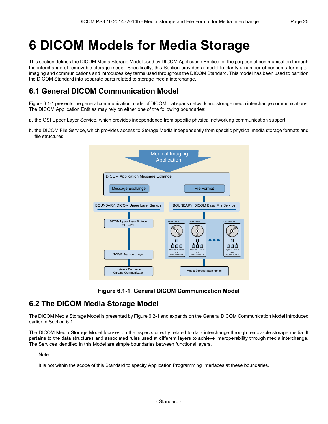# <span id="page-24-0"></span>**6 DICOM Models for Media Storage**

This section defines the DICOM Media Storage Model used by DICOM Application Entities for the purpose of communication through the interchange of removable storage media. Specifically, this Section provides a model to clarify a number of concepts for digital imaging and communications and introduces key terms used throughout the DICOM Standard. This model has been used to partition the DICOM Standard into separate parts related to storage media interchange.

### <span id="page-24-1"></span>**6.1 General DICOM Communication Model**

[Figure](#page-24-3) 6.1-1 presents the general communication model of DICOM that spans network and storage media interchange communications. The DICOM Application Entities may rely on either one of the following boundaries:

- a. the OSI Upper Layer Service, which provides independence from specific physical networking communication support
- <span id="page-24-3"></span>b. the DICOM File Service, which provides access to Storage Media independently from specific physical media storage formats and file structures.



**Figure 6.1-1. General DICOM Communication Model**

### <span id="page-24-2"></span>**6.2 The DICOM Media Storage Model**

The DICOM Media Storage Model is presented by [Figure](#page-25-2) 6.2-1 and expands on the General DICOM Communication Model introduced earlier in [Section](#page-24-1) 6.1.

The DICOM Media Storage Model focuses on the aspects directly related to data interchange through removable storage media. It pertains to the data structures and associated rules used at different layers to achieve interoperability through media interchange. The Services identified in this Model are simple boundaries between functional layers.

#### **Note**

It is not within the scope of this Standard to specify Application Programming Interfaces at these boundaries.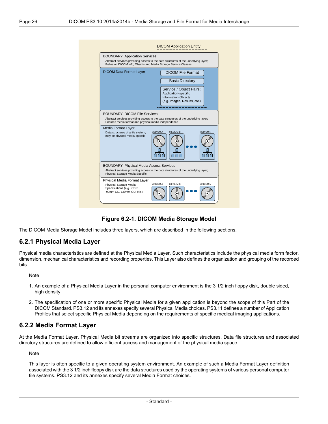<span id="page-25-2"></span>

#### **Figure 6.2-1. DICOM Media Storage Model**

<span id="page-25-0"></span>The DICOM Media Storage Model includes three layers, which are described in the following sections.

#### **6.2.1 Physical Media Layer**

Physical media characteristics are defined at the Physical Media Layer. Such characteristics include the physical media form factor, dimension, mechanical characteristics and recording properties. This Layer also defines the organization and grouping of the recorded bits.

Note

- <span id="page-25-1"></span>1. An example of a Physical Media Layer in the personal computer environment is the 3 1/2 inch floppy disk, double sided, high density.
- 2. The specification of one or more specific Physical Media for a given application is beyond the scope of this Part of the DICOM Standard. [PS3.12](part12.pdf#PS3.12) and its annexes specify several Physical Media choices. [PS3.11](part11.pdf#PS3.11) defines a number of Application Profiles that select specific Physical Media depending on the requirements of specific medical imaging applications.

#### **6.2.2 Media Format Layer**

At the Media Format Layer, Physical Media bit streams are organized into specific structures. Data file structures and associated directory structures are defined to allow efficient access and management of the physical media space.

Note

This layer is often specific to a given operating system environment. An example of such a Media Format Layer definition associated with the 3 1/2 inch floppy disk are the data structures used by the operating systems of various personal computer file systems. [PS3.12](part12.pdf#PS3.12) and its annexes specify several Media Format choices.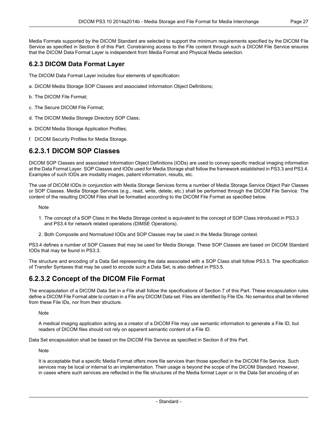Media Formats supported by the DICOM Standard are selected to support the minimum requirements specified by the DICOM File Service as specified in Section 8 of this Part. Constraining access to the File content through such a DICOM File Service ensures that the DICOM Data Format Layer is independent from Media Format and Physical Media selection.

#### <span id="page-26-0"></span>**6.2.3 DICOM Data Format Layer**

The DICOM Data Format Layer includes four elements of specification:

- a. DICOM Media Storage SOP Classes and associated Information Object Definitions;
- b. The DICOM File Format;
- c. The Secure DICOM File Format;
- d. The DICOM Media Storage Directory SOP Class;
- <span id="page-26-1"></span>e. DICOM Media Storage Application Profiles;
- f. DICOM Security Profiles for Media Storage.

#### **6.2.3.1 DICOM SOP Classes**

DICOM SOP Classes and associated Information Object Definitions (IODs) are used to convey specific medical imaging information at the Data Format Layer. SOP Classes and IODs used for Media Storage shall follow the framework established in [PS3.3](part03.pdf#PS3.3) and [PS3.4.](part04.pdf#PS3.4) Examples of such IODs are modality images, patient information, results, etc.

The use of DICOM IODs in conjunction with Media Storage Services forms a number of Media Storage Service Object Pair Classes or SOP Classes. Media Storage Services (e.g., read, write, delete, etc.) shall be performed through the DICOM File Service. The content of the resulting DICOM Files shall be formatted according to the DICOM File Format as specified below.

Note

- 1. The concept of a SOP Class in the Media Storage context is equivalent to the concept of SOP Class introduced in [PS3.3](part03.pdf#PS3.3) and [PS3.4](part04.pdf#PS3.4) for network related operations (DIMSE Operations).
- 2. Both Composite and Normalized IODs and SOP Classes may be used in the Media Storage context.

<span id="page-26-2"></span>[PS3.4](part04.pdf#PS3.4) defines a number of SOP Classes that may be used for Media Storage. These SOP Classes are based on DICOM Standard IODs that may be found in [PS3.3](part03.pdf#PS3.3).

The structure and encoding of a Data Set representing the data associated with a SOP Class shall follow [PS3.5.](part05.pdf#PS3.5) The specification of Transfer Syntaxes that may be used to encode such a Data Set, is also defined in [PS3.5.](part05.pdf#PS3.5)

#### **6.2.3.2 Concept of the DICOM File Format**

The encapsulation of a DICOM Data Set in a File shall follow the specifications of Section 7 of this Part. These encapsulation rules define a DICOM File Format able to contain in a File any DICOM Data set. Files are identified by File IDs. No semantics shall be inferred from these File IDs, nor from their structure.

**Note** 

A medical imaging application acting as a creator of a DICOM File may use semantic information to generate a File ID, but readers of DICOM files should not rely on apparent semantic content of a File ID.

Data Set encapsulation shall be based on the DICOM File Service as specified in Section 8 of this Part.

Note

It is acceptable that a specific Media Format offers more file services than those specified in the DICOM File Service. Such services may be local or internal to an implementation. Their usage is beyond the scope of the DICOM Standard. However, in cases where such services are reflected in the file structures of the Media format Layer or in the Data Set encoding of an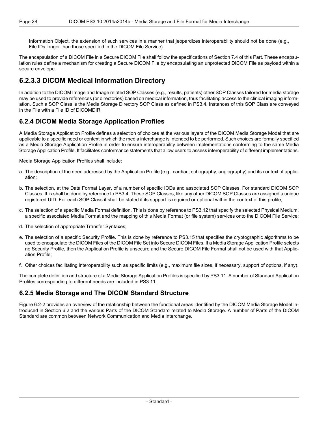Information Object, the extension of such services in a manner that jeopardizes interoperability should not be done (e.g., File IDs longer than those specified in the DICOM File Service).

<span id="page-27-0"></span>The encapsulation of a DICOM File in a Secure DICOM File shall follow the specifications of [Section](#page-33-1) 7.4 of this Part. These encapsulation rules define a mechanism for creating a Secure DICOM File by encapsulating an unprotected DICOM File as payload within a secure envelope.

#### **6.2.3.3 DICOM Medical Information Directory**

<span id="page-27-1"></span>In addition to the DICOM Image and Image related SOP Classes (e.g., results, patients) other SOP Classes tailored for media storage may be used to provide references (or directories) based on medical information, thus facilitating access to the clinical imaging information. Such a SOP Class is the Media Storage Directory SOP Class as defined in [PS3.4](part04.pdf#PS3.4). Instances of this SOP Class are conveyed in the File with a File ID of DICOMDIR.

#### **6.2.4 DICOM Media Storage Application Profiles**

A Media Storage Application Profile defines a selection of choices at the various layers of the DICOM Media Storage Model that are applicable to a specific need or context in which the media interchange is intended to be performed. Such choices are formally specified as a Media Storage Application Profile in order to ensure interoperability between implementations conforming to the same Media Storage Application Profile. It facilitates conformance statements that allow users to assess interoperability of different implementations.

Media Storage Application Profiles shall include:

- a. The description of the need addressed by the Application Profile (e.g., cardiac, echography, angiography) and its context of application;
- b. The selection, at the Data Format Layer, of a number of specific IODs and associated SOP Classes. For standard DICOM SOP Classes, this shall be done by reference to [PS3.4.](part04.pdf#PS3.4) These SOP Classes, like any other DICOM SOP Classes are assigned a unique registered UID. For each SOP Class it shall be stated if its support is required or optional within the context of this profile;
- c. The selection of a specific Media Format definition. This is done by reference to [PS3.12](part12.pdf#PS3.12) that specify the selected Physical Medium, a specific associated Media Format and the mapping of this Media Format (or file system) services onto the DICOM File Service;
- d. The selection of appropriate Transfer Syntaxes;
- e. The selection of a specific Security Profile. This is done by reference to [PS3.15](part15.pdf#PS3.15) that specifies the cryptographic algorithms to be used to encapsulate the DICOM Files of the DICOM File Set into Secure DICOM Files. If a Media Storage Application Profile selects no Security Profile, then the Application Profile is unsecure and the Secure DICOM File Format shall not be used with that Application Profile;
- <span id="page-27-2"></span>f. Other choices facilitating interoperability such as specific limits (e.g., maximum file sizes, if necessary, support of options, if any).

The complete definition and structure of a Media Storage Application Profiles is specified by [PS3.11](part11.pdf#PS3.11). A number of Standard Application Profiles corresponding to different needs are included in [PS3.11](part11.pdf#PS3.11).

#### **6.2.5 Media Storage and The DICOM Standard Structure**

[Figure](#page-28-0) 6.2-2 provides an overview of the relationship between the functional areas identified by the DICOM Media Storage Model introduced in [Section](#page-24-2) 6.2 and the various Parts of the DICOM Standard related to Media Storage. A number of Parts of the DICOM Standard are common between Network Communication and Media Interchange.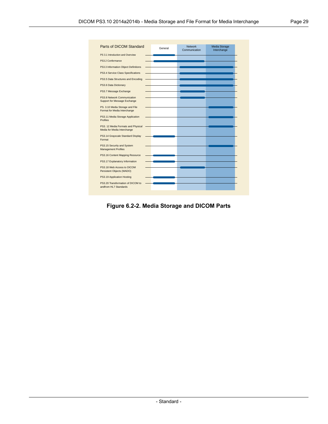<span id="page-28-0"></span>

| Parts of DICOM Standard                                           |         | <b>Network</b> | Media Storage |
|-------------------------------------------------------------------|---------|----------------|---------------|
|                                                                   | General | Communication  | Interchange   |
| PS 3.1 Introduction and Overview                                  |         |                |               |
| PS3.2 Conformance                                                 |         |                |               |
| PS3.3 Information Object Definitions                              |         |                |               |
| PS3.4 Service Class Specifications                                |         |                |               |
| PS3.5 Data Structures and Encoding                                |         |                |               |
| PS3.6 Data Dictionary                                             |         |                |               |
| PS3.7 Message Exchange                                            |         |                |               |
| PS3.8 Network Communication<br>Support for Message Exchange       |         |                |               |
| PS. 3.10 Media Storage and File<br>Format for Media Interchange   |         |                |               |
| PS3.11 Media Storage Application<br><b>Profiles</b>               |         |                |               |
| PS3. 12 Media Formats and Physical<br>Media for Media Interchange |         |                |               |
| PS3.14 Grayscale Standard Display<br>Format                       |         |                |               |
| PS3.15 Security and System<br><b>Management Profiles</b>          |         |                |               |
| PS3.16 Content Mapping Resource                                   |         |                |               |
| PS3.17 Explanatory Information                                    |         |                |               |
| PS3.18 Web Access to DICOM<br>Persistent Objects (WADO)           |         |                |               |
| PS3.19 Application Hosting                                        |         |                |               |
| PS3.20 Transformation of DICOM to<br>andfrom HL7 Standards        |         |                |               |

**Figure 6.2-2. Media Storage and DICOM Parts**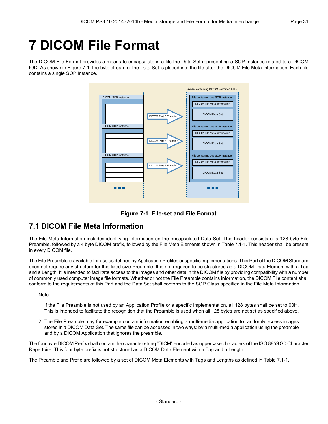# <span id="page-30-0"></span>**7 DICOM File Format**

<span id="page-30-2"></span>The DICOM File Format provides a means to encapsulate in a file the Data Set representing a SOP Instance related to a DICOM IOD. As shown in [Figure](#page-30-2) 7-1, the byte stream of the Data Set is placed into the file after the DICOM File Meta Information. Each file contains a single SOP Instance.





### <span id="page-30-1"></span>**7.1 DICOM File Meta Information**

The File Meta Information includes identifying information on the encapsulated Data Set. This header consists of a 128 byte File Preamble, followed by a 4 byte DICOM prefix, followed by the File Meta Elements shown in [Table](#page-31-0) 7.1-1. This header shall be present in every DICOM file.

The File Preamble is available for use as defined by Application Profiles or specific implementations. This Part of the DICOM Standard does not require any structure for this fixed size Preamble. It is not required to be structured as a DICOM Data Element with a Tag and a Length. It is intended to facilitate access to the images and other data in the DICOM file by providing compatibility with a number of commonly used computer image file formats. Whether or not the File Preamble contains information, the DICOM File content shall conform to the requirements of this Part and the Data Set shall conform to the SOP Class specified in the File Meta Information.

#### **Note**

- 1. If the File Preamble is not used by an Application Profile or a specific implementation, all 128 bytes shall be set to 00H. This is intended to facilitate the recognition that the Preamble is used when all 128 bytes are not set as specified above.
- 2. The File Preamble may for example contain information enabling a multi-media application to randomly access images stored in a DICOM Data Set. The same file can be accessed in two ways: by a multi-media application using the preamble and by a DICOM Application that ignores the preamble.

The four byte DICOM Prefix shall contain the character string "DICM" encoded as uppercase characters of the ISO 8859 G0 Character Repertoire. This four byte prefix is not structured as a DICOM Data Element with a Tag and a Length.

The Preamble and Prefix are followed by a set of DICOM Meta Elements with Tags and Lengths as defined in [Table](#page-31-0) 7.1-1.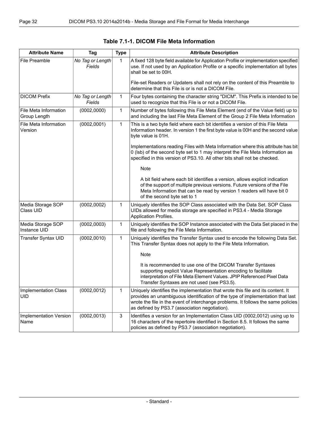<span id="page-31-0"></span>

| <b>Attribute Name</b>                     | Tag                        | <b>Type</b>  | <b>Attribute Description</b>                                                                                                                                                                                                                                                                             |
|-------------------------------------------|----------------------------|--------------|----------------------------------------------------------------------------------------------------------------------------------------------------------------------------------------------------------------------------------------------------------------------------------------------------------|
| File Preamble                             | No Tag or Length<br>Fields | 1            | A fixed 128 byte field available for Application Profile or implementation specified<br>use. If not used by an Application Profile or a specific implementation all bytes<br>shall be set to 00H.                                                                                                        |
|                                           |                            |              | File-set Readers or Updaters shall not rely on the content of this Preamble to<br>determine that this File is or is not a DICOM File.                                                                                                                                                                    |
| <b>DICOM Prefix</b>                       | No Tag or Length<br>Fields | 1            | Four bytes containing the character string "DICM". This Prefix is intended to be<br>used to recognize that this File is or not a DICOM File.                                                                                                                                                             |
| File Meta Information<br>Group Length     | (0002, 0000)               | 1            | Number of bytes following this File Meta Element (end of the Value field) up to<br>and including the last File Meta Element of the Group 2 File Meta Information                                                                                                                                         |
| File Meta Information<br>Version          | (0002, 0001)               | $\mathbf 1$  | This is a two byte field where each bit identifies a version of this File Meta<br>Information header. In version 1 the first byte value is 00H and the second value<br>byte value is 01H.                                                                                                                |
|                                           |                            |              | Implementations reading Files with Meta Information where this attribute has bit<br>0 (Isb) of the second byte set to 1 may interpret the File Meta Information as<br>specified in this version of PS3.10. All other bits shall not be checked.                                                          |
|                                           |                            |              | Note                                                                                                                                                                                                                                                                                                     |
|                                           |                            |              | A bit field where each bit identifies a version, allows explicit indication<br>of the support of multiple previous versions. Future versions of the File<br>Meta Information that can be read by version 1 readers will have bit 0<br>of the second byte set to 1                                        |
| Media Storage SOP<br>Class UID            | (0002, 0002)               | 1            | Uniquely identifies the SOP Class associated with the Data Set. SOP Class<br>UIDs allowed for media storage are specified in PS3.4 - Media Storage<br>Application Profiles.                                                                                                                              |
| Media Storage SOP<br>Instance UID         | (0002, 0003)               | 1            | Uniquely identifies the SOP Instance associated with the Data Set placed in the<br>file and following the File Meta Information.                                                                                                                                                                         |
| Transfer Syntax UID                       | (0002, 0010)               | 1            | Uniquely identifies the Transfer Syntax used to encode the following Data Set.<br>This Transfer Syntax does not apply to the File Meta Information.                                                                                                                                                      |
|                                           |                            |              | <b>Note</b>                                                                                                                                                                                                                                                                                              |
|                                           |                            |              | It is recommended to use one of the DICOM Transfer Syntaxes<br>supporting explicit Value Representation encoding to facilitate<br>interpretation of File Meta Element Values. JPIP Referenced Pixel Data<br>Transfer Syntaxes are not used (see PS3.5).                                                  |
| <b>Implementation Class</b><br><b>UID</b> | (0002, 0012)               | 1            | Uniquely identifies the implementation that wrote this file and its content. It<br>provides an unambiguous identification of the type of implementation that last<br>wrote the file in the event of interchange problems. It follows the same policies<br>as defined by PS3.7 (association negotiation). |
| Implementation Version<br>Name            | (0002, 0013)               | $\mathbf{3}$ | Identifies a version for an Implementation Class UID (0002,0012) using up to<br>16 characters of the repertoire identified in Section 8.5. It follows the same<br>policies as defined by PS3.7 (association negotiation).                                                                                |

| Table 7.1-1. DICOM File Meta Information |
|------------------------------------------|
|------------------------------------------|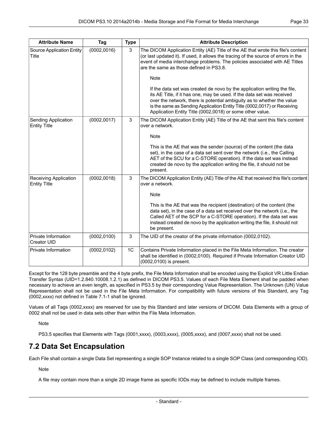| <b>Attribute Name</b>                        | Tag          | <b>Type</b> | <b>Attribute Description</b>                                                                                                                                                                                                                                                                                                                                          |
|----------------------------------------------|--------------|-------------|-----------------------------------------------------------------------------------------------------------------------------------------------------------------------------------------------------------------------------------------------------------------------------------------------------------------------------------------------------------------------|
| Source Application Entity<br>Title           | (0002, 0016) | 3           | The DICOM Application Entity (AE) Title of the AE that wrote this file's content<br>(or last updated it). If used, it allows the tracing of the source of errors in the<br>event of media interchange problems. The policies associated with AE Titles<br>are the same as those defined in PS3.8.                                                                     |
|                                              |              |             | Note                                                                                                                                                                                                                                                                                                                                                                  |
|                                              |              |             | If the data set was created de novo by the application writing the file,<br>its AE Title, if it has one, may be used. If the data set was received<br>over the network, there is potential ambiguity as to whether the value<br>is the same as Sending Application Entity Title (0002,0017) or Receiving<br>Application Entity Title (0002,0018) or some other value. |
| Sending Application<br><b>Entity Title</b>   | (0002, 0017) | 3           | The DICOM Application Entity (AE) Title of the AE that sent this file's content<br>over a network.                                                                                                                                                                                                                                                                    |
|                                              |              |             | <b>Note</b>                                                                                                                                                                                                                                                                                                                                                           |
|                                              |              |             | This is the AE that was the sender (source) of the content (the data<br>set), in the case of a data set sent over the network (i.e., the Calling<br>AET of the SCU for a C-STORE operation). If the data set was instead<br>created de novo by the application writing the file, it should not be<br>present.                                                         |
| Receiving Application<br><b>Entity Title</b> | (0002, 0018) | 3           | The DICOM Application Entity (AE) Title of the AE that received this file's content<br>over a network.                                                                                                                                                                                                                                                                |
|                                              |              |             | Note                                                                                                                                                                                                                                                                                                                                                                  |
|                                              |              |             | This is the AE that was the recipient (destination) of the content (the<br>data set), in the case of a data set received over the network (i.e., the<br>Called AET of the SCP for a C-STORE operation). If the data set was<br>instead created de novo by the application writing the file, it should not<br>be present.                                              |
| Private Information<br>Creator UID           | (0002, 0100) | 3           | The UID of the creator of the private information (0002,0102).                                                                                                                                                                                                                                                                                                        |
| Private Information                          | (0002, 0102) | 1C          | Contains Private Information placed in the File Meta Information. The creator<br>shall be identified in (0002,0100). Required if Private Information Creator UID<br>(0002,0100) is present.                                                                                                                                                                           |

Except for the 128 byte preamble and the 4 byte prefix, the File Meta Information shall be encoded using the Explicit VR Little Endian Transfer Syntax (UID=1.2.840.10008.1.2.1) as defined in DICOM [PS3.5](part05.pdf#PS3.5). Values of each File Meta Element shall be padded when necessary to achieve an even length, as specified in [PS3.5](part05.pdf#PS3.5) by their corresponding Value Representation. The Unknown (UN) Value Representation shall not be used in the File Meta Information. For compatibility with future versions of this Standard, any Tag (0002,xxxx) not defined in [Table](#page-31-0) 7.1-1 shall be ignored.

<span id="page-32-0"></span>Values of all Tags (0002,xxxx) are reserved for use by this Standard and later versions of DICOM. Data Elements with a group of 0002 shall not be used in data sets other than within the File Meta Information.

**Note** 

[PS3.5](part05.pdf#PS3.5) specifies that Elements with Tags (0001,xxxx), (0003,xxxx), (0005,xxxx), and (0007,xxxx) shall not be used.

### **7.2 Data Set Encapsulation**

Each File shall contain a single Data Set representing a single SOP Instance related to a single SOP Class (and corresponding IOD).

**Note** 

A file may contain more than a single 2D image frame as specific IODs may be defined to include multiple frames.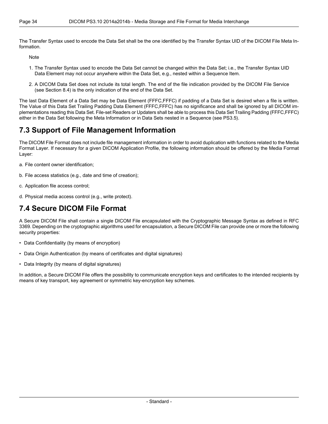The Transfer Syntax used to encode the Data Set shall be the one identified by the Transfer Syntax UID of the DICOM File Meta Information.

**Note** 

- 1. The Transfer Syntax used to encode the Data Set cannot be changed within the Data Set; i.e., the Transfer Syntax UID Data Element may not occur anywhere within the Data Set, e.g., nested within a Sequence Item.
- 2. A DICOM Data Set does not include its total length. The end of the file indication provided by the DICOM File Service (see [Section](#page-37-0) 8.4) is the only indication of the end of the Data Set.

<span id="page-33-0"></span>The last Data Element of a Data Set may be Data Element (FFFC,FFFC) if padding of a Data Set is desired when a file is written. The Value of this Data Set Trailing Padding Data Element (FFFC,FFFC) has no significance and shall be ignored by all DICOM implementations reading this Data Set. File-set Readers or Updaters shall be able to process this Data Set Trailing Padding (FFFC,FFFC) either in the Data Set following the Meta Information or in Data Sets nested in a Sequence (see [PS3.5](part05.pdf#PS3.5)).

### **7.3 Support of File Management Information**

The DICOM File Format does not include file management information in order to avoid duplication with functions related to the Media Format Layer. If necessary for a given DICOM Application Profile, the following information should be offered by the Media Format Layer:

- a. File content owner identification;
- b. File access statistics (e.g., date and time of creation);
- <span id="page-33-1"></span>c. Application file access control;
- d. Physical media access control (e.g., write protect).

#### **7.4 Secure DICOM File Format**

A Secure DICOM File shall contain a single DICOM File encapsulated with the Cryptographic Message Syntax as defined in RFC 3369. Depending on the cryptographic algorithms used for encapsulation, a Secure DICOM File can provide one or more the following security properties:

- Data Confidentiality (by means of encryption)
- Data Origin Authentication (by means of certificates and digital signatures)
- Data Integrity (by means of digital signatures)

In addition, a Secure DICOM File offers the possibility to communicate encryption keys and certificates to the intended recipients by means of key transport, key agreement or symmetric key-encryption key schemes.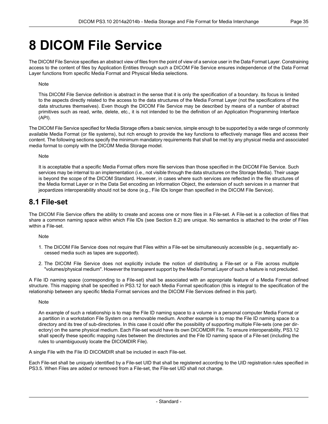# <span id="page-34-0"></span>**8 DICOM File Service**

The DICOM File Service specifies an abstract view of files from the point of view of a service user in the Data Format Layer. Constraining access to the content of files by Application Entities through such a DICOM File Service ensures independence of the Data Format Layer functions from specific Media Format and Physical Media selections.

#### Note

This DICOM File Service definition is abstract in the sense that it is only the specification of a boundary. Its focus is limited to the aspects directly related to the access to the data structures of the Media Format Layer (not the specifications of the data structures themselves). Even though the DICOM File Service may be described by means of a number of abstract primitives such as read, write, delete, etc., it is not intended to be the definition of an Application Programming Interface (API).

The DICOM File Service specified for Media Storage offers a basic service, simple enough to be supported by a wide range of commonly available Media Format (or file systems), but rich enough to provide the key functions to effectively manage files and access their content. The following sections specify the minimum mandatory requirements that shall be met by any physical media and associated media format to comply with the DICOM Media Storage model.

#### **Note**

<span id="page-34-1"></span>It is acceptable that a specific Media Format offers more file services than those specified in the DICOM File Service. Such services may be internal to an implementation (i.e., not visible through the data structures on the Storage Media). Their usage is beyond the scope of the DICOM Standard. However, in cases where such services are reflected in the file structures of the Media format Layer or in the Data Set encoding an Information Object, the extension of such services in a manner that jeopardizes interoperability should not be done (e.g., File IDs longer than specified in the DICOM File Service).

#### **8.1 File-set**

The DICOM File Service offers the ability to create and access one or more files in a File-set. A File-set is a collection of files that share a common naming space within which File IDs (see [Section](#page-35-0) 8.2) are unique. No semantics is attached to the order of Files within a File-set.

Note

- 1. The DICOM File Service does not require that Files within a File-set be simultaneously accessible (e.g., sequentially accessed media such as tapes are supported).
- 2. The DICOM File Service does not explicitly include the notion of distributing a File-set or a File across multiple "volumes/physical medium". However the transparent support by the Media Format Layer of such a feature is not precluded.

A File ID naming space (corresponding to a File-set) shall be associated with an appropriate feature of a Media Format defined structure. This mapping shall be specified in [PS3.12](part12.pdf#PS3.12) for each Media Format specification (this is integral to the specification of the relationship between any specific Media Format services and the DICOM File Services defined in this part).

#### Note

An example of such a relationship is to map the File ID naming space to a volume in a personal computer Media Format or a partition in a workstation File System on a removable medium. Another example is to map the File ID naming space to a directory and its tree of sub-directories. In this case it could offer the possibility of supporting multiple File-sets (one per directory) on the same physical medium. Each File-set would have its own DICOMDIR File. To ensure interoperability, [PS3.12](part12.pdf#PS3.12) shall specify these specific mapping rules between the directories and the File ID naming space of a File-set (including the rules to unambiguously locate the DICOMDIR File).

A single File with the File ID DICOMDIR shall be included in each File-set.

Each File-set shall be uniquely identified by a File-set UID that shall be registered according to the UID registration rules specified in [PS3.5](part05.pdf#PS3.5). When Files are added or removed from a File-set, the File-set UID shall not change.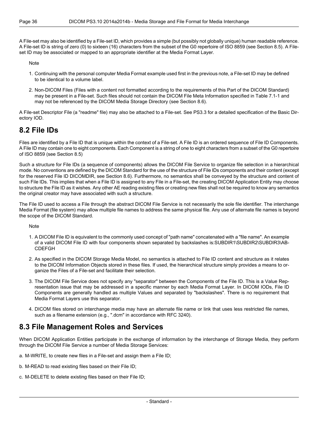A File-set may also be identified by a File-set ID, which provides a simple (but possibly not globally unique) human readable reference. A File-set ID is string of zero (0) to sixteen (16) characters from the subset of the G0 repertoire of ISO 8859 (see [Section](#page-37-1) 8.5). A Fileset ID may be associated or mapped to an appropriate identifier at the Media Format Layer.

Note

- 1. Continuing with the personal computer Media Format example used first in the previous note, a File-set ID may be defined to be identical to a volume label.
- 2. Non-DICOM Files (Files with a content not formatted according to the requirements of this Part of the DICOM Standard) may be present in a File-set. Such files should not contain the DICOM File Meta Information specified in [Table](#page-31-0) 7.1-1 and may not be referenced by the DICOM Media Storage Directory (see [Section](#page-37-2) 8.6).

<span id="page-35-0"></span>A File-set Descriptor File (a "readme" file) may also be attached to a File-set. See [PS3.3](part03.pdf#PS3.3) for a detailed specification of the Basic Directory IOD.

### **8.2 File IDs**

Files are identified by a File ID that is unique within the context of a File-set. A File ID is an ordered sequence of File ID Components. A File ID may contain one to eight components. Each Component is a string of one to eight characters from a subset of the G0 repertoire of ISO 8859 (see [Section](#page-37-1) 8.5)

Such a structure for File IDs (a sequence of components) allows the DICOM File Service to organize file selection in a hierarchical mode. No conventions are defined by the DICOM Standard for the use of the structure of File IDs components and their content (except for the reserved File ID DICOMDIR, see [Section](#page-37-2) 8.6). Furthermore, no semantics shall be conveyed by the structure and content of such File IDs. This implies that when a File ID is assigned to any File in a File-set, the creating DICOM Application Entity may choose to structure the File ID as it wishes. Any other AE reading existing files or creating new files shall not be required to know any semantics the original creator may have associated with such a structure.

The File ID used to access a File through the abstract DICOM File Service is not necessarily the sole file identifier. The interchange Media Format (file system) may allow multiple file names to address the same physical file. Any use of alternate file names is beyond the scope of the DICOM Standard.

**Note** 

- 1. A DICOM File ID is equivalent to the commonly used concept of "path name" concatenated with a "file name". An example of a valid DICOM File ID with four components shown separated by backslashes is:SUBDIR1\SUBDIR2\SUBDIR3\AB-CDEFGH
- 2. As specified in the DICOM Storage Media Model, no semantics is attached to File ID content and structure as it relates to the DICOM Information Objects stored in these files. If used, the hierarchical structure simply provides a means to organize the Files of a File-set and facilitate their selection.
- <span id="page-35-1"></span>3. The DICOM File Service does not specify any "separator" between the Components of the File ID. This is a Value Representation issue that may be addressed in a specific manner by each Media Format Layer. In DICOM IODs, File ID Components are generally handled as multiple Values and separated by "backslashes". There is no requirement that Media Format Layers use this separator.
- 4. DICOM files stored on interchange media may have an alternate file name or link that uses less restricted file names, such as a filename extension (e.g., ".dcm" in accordance with RFC 3240).

#### **8.3 File Management Roles and Services**

When DICOM Application Entities participate in the exchange of information by the interchange of Storage Media, they perform through the DICOM File Service a number of Media Storage Services:

- a. M-WRITE, to create new files in a File-set and assign them a File ID;
- b. M-READ to read existing files based on their File ID;
- c. M-DELETE to delete existing files based on their File ID;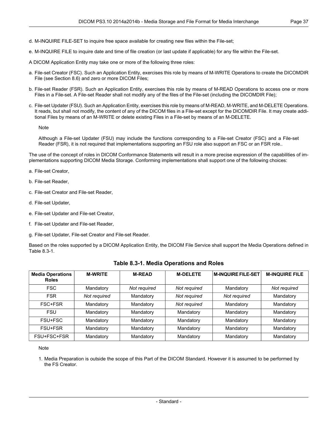- d. M-INQUIRE FILE-SET to inquire free space available for creating new files within the File-set;
- e. M-INQUIRE FILE to inquire date and time of file creation (or last update if applicable) for any file within the File-set.
- A DICOM Application Entity may take one or more of the following three roles:
- a. File-set Creator (FSC). Such an Application Entity, exercises this role by means of M-WRITE Operations to create the DICOMDIR File (see [Section](#page-37-2) 8.6) and zero or more DICOM Files;
- b. File-set Reader (FSR). Such an Application Entity, exercises this role by means of M-READ Operations to access one or more Files in a File-set. A File-set Reader shall not modify any of the files of the File-set (including the DICOMDIR File);
- c. File-set Updater (FSU). Such an Application Entity, exercises this role by means of M-READ, M-WRITE, and M-DELETE Operations. It reads, but shall not modify, the content of any of the DICOM files in a File-set except for the DICOMDIR File. It may create additional Files by means of an M-WRITE or delete existing Files in a File-set by means of an M-DELETE.

Note

Although a File-set Updater (FSU) may include the functions corresponding to a File-set Creator (FSC) and a File-set Reader (FSR), it is not required that implementations supporting an FSU role also support an FSC or an FSR role..

The use of the concept of roles in DICOM Conformance Statements will result in a more precise expression of the capabilities of implementations supporting DICOM Media Storage. Conforming implementations shall support one of the following choices:

- a. File-set Creator,
- b. File-set Reader,
- c. File-set Creator and File-set Reader,
- d. File-set Updater,
- e. File-set Updater and File-set Creator,
- f. File-set Updater and File-set Reader,
- <span id="page-36-0"></span>g. File-set Updater, File-set Creator and File-set Reader.

Based on the roles supported by a DICOM Application Entity, the DICOM File Service shall support the Media Operations defined in [Table](#page-36-0) 8.3-1.

| <b>Media Operations</b><br><b>Roles</b> | <b>M-WRITE</b> | <b>M-READ</b> | <b>M-DELETE</b> | <b>M-INQUIRE FILE-SET</b> | <b>M-INQUIRE FILE</b> |
|-----------------------------------------|----------------|---------------|-----------------|---------------------------|-----------------------|
| <b>FSC</b>                              | Mandatory      | Not required  | Not required    | Mandatory                 | Not required          |
| <b>FSR</b>                              | Not required   | Mandatory     | Not required    | Not required              | Mandatory             |
| FSC+FSR                                 | Mandatory      | Mandatory     | Not required    | Mandatory                 | Mandatory             |
| <b>FSU</b>                              | Mandatory      | Mandatory     | Mandatory       | Mandatory                 | Mandatory             |
| FSU+FSC                                 | Mandatory      | Mandatory     | Mandatory       | Mandatory                 | Mandatory             |
| FSU+FSR                                 | Mandatory      | Mandatory     | Mandatory       | Mandatory                 | Mandatory             |
| FSU+FSC+FSR                             | Mandatory      | Mandatory     | Mandatory       | Mandatory                 | Mandatory             |

|  |  | Table 8.3-1. Media Operations and Roles |  |
|--|--|-----------------------------------------|--|
|--|--|-----------------------------------------|--|

Note

1. Media Preparation is outside the scope of this Part of the DICOM Standard. However it is assumed to be performed by the FS Creator.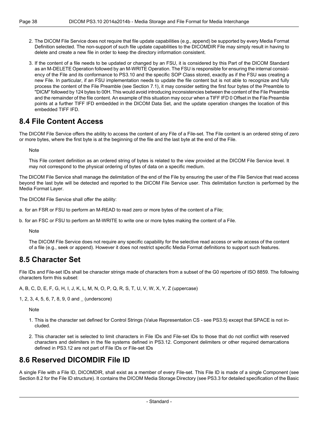- 2. The DICOM File Service does not require that file update capabilities (e.g., append) be supported by every Media Format Definition selected. The non-support of such file update capabilities to the DICOMDIR File may simply result in having to delete and create a new file in order to keep the directory information consistent.
- 3. If the content of a file needs to be updated or changed by an FSU, it is considered by this Part of the DICOM Standard as an M-DELETE Operation followed by an M-WRITE Operation. The FSU is responsible for ensuring the internal consistency of the File and its conformance to PS3.10 and the specific SOP Class stored, exactly as if the FSU was creating a new File. In particular, if an FSU implementation needs to update the file content but is not able to recognize and fully process the content of the File Preamble (see [Section](#page-30-1) 7.1), it may consider setting the first four bytes of the Preamble to "DICM" followed by 124 bytes to 00H. This would avoid introducing inconsistencies between the content of the File Preamble and the remainder of the file content. An example of this situation may occur when a TIFF IFD 0 Offset in the File Preamble points at a further TIFF IFD embedded in the DICOM Data Set, and the update operation changes the location of this embedded TIFF IFD.

#### <span id="page-37-0"></span>**8.4 File Content Access**

The DICOM File Service offers the ability to access the content of any File of a File-set. The File content is an ordered string of zero or more bytes, where the first byte is at the beginning of the file and the last byte at the end of the File.

Note

This File content definition as an ordered string of bytes is related to the view provided at the DICOM File Service level. It may not correspond to the physical ordering of bytes of data on a specific medium.

The DICOM File Service shall manage the delimitation of the end of the File by ensuring the user of the File Service that read access beyond the last byte will be detected and reported to the DICOM File Service user. This delimitation function is performed by the Media Format Layer.

The DICOM File Service shall offer the ability:

- a. for an FSR or FSU to perform an M-READ to read zero or more bytes of the content of a File;
- <span id="page-37-1"></span>b. for an FSC or FSU to perform an M-WRITE to write one or more bytes making the content of a File.

**Note** 

The DICOM File Service does not require any specific capability for the selective read access or write access of the content of a file (e.g., seek or append). However it does not restrict specific Media Format definitions to support such features.

#### **8.5 Character Set**

File IDs and File-set IDs shall be character strings made of characters from a subset of the G0 repertoire of ISO 8859. The following characters form this subset:

A, B, C, D, E, F, G, H, I, J, K, L, M, N, O, P, Q, R, S, T, U, V, W, X, Y, Z (uppercase)

1, 2, 3, 4, 5, 6, 7, 8, 9, 0 and \_ (underscore)

**Note** 

- <span id="page-37-2"></span>1. This is the character set defined for Control Strings (Value Representation CS - see [PS3.5\)](part05.pdf#PS3.5) except that SPACE is not included.
- 2. This character set is selected to limit characters in File IDs and File-set IDs to those that do not conflict with reserved characters and delimiters in the file systems defined in [PS3.12](part12.pdf#PS3.12). Component delimiters or other required demarcations defined in [PS3.12](part12.pdf#PS3.12) are not part of File IDs or File-set IDs

### **8.6 Reserved DICOMDIR File ID**

A single File with a File ID, DICOMDIR, shall exist as a member of every File-set. This File ID is made of a single Component (see [Section](#page-35-0) 8.2 for the File ID structure). It contains the DICOM Media Storage Directory (see [PS3.3](part03.pdf#PS3.3) for detailed specification of the Basic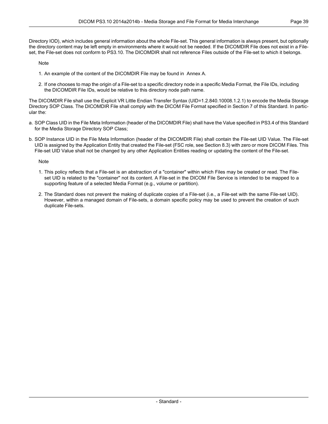Directory IOD), which includes general information about the whole File-set. This general information is always present, but optionally the directory content may be left empty in environments where it would not be needed. If the DICOMDIR File does not exist in a Fileset, the File-set does not conform to PS3.10. The DICOMDIR shall not reference Files outside of the File-set to which it belongs.

Note

- 1. An example of the content of the DICOMDIR File may be found in [Annex](#page-42-0) A.
- 2. If one chooses to map the origin of a File-set to a specific directory node in a specific Media Format, the File IDs, including the DICOMDIR File IDs, would be relative to this directory node path name.

The DICOMDIR File shall use the Explicit VR Little Endian Transfer Syntax (UID=1.2.840.10008.1.2.1) to encode the Media Storage Directory SOP Class. The DICOMDIR File shall comply with the DICOM File Format specified in Section 7 of this Standard. In particular the:

- a. SOP Class UID in the File Meta Information (header of the DICOMDIR File) shall have the Value specified in [PS3.4](part04.pdf#PS3.4) of this Standard for the Media Storage Directory SOP Class;
- b. SOP Instance UID in the File Meta Information (header of the DICOMDIR File) shall contain the File-set UID Value. The File-set UID is assigned by the Application Entity that created the File-set (FSC role, see [Section](#page-35-1) 8.3) with zero or more DICOM Files. This File-set UID Value shall not be changed by any other Application Entities reading or updating the content of the File-set.

Note

- 1. This policy reflects that a File-set is an abstraction of a "container" within which Files may be created or read. The Fileset UID is related to the "container" not its content. A File-set in the DICOM File Service is intended to be mapped to a supporting feature of a selected Media Format (e.g., volume or partition).
- 2. The Standard does not prevent the making of duplicate copies of a File-set (i.e., a File-set with the same File-set UID). However, within a managed domain of File-sets, a domain specific policy may be used to prevent the creation of such duplicate File-sets.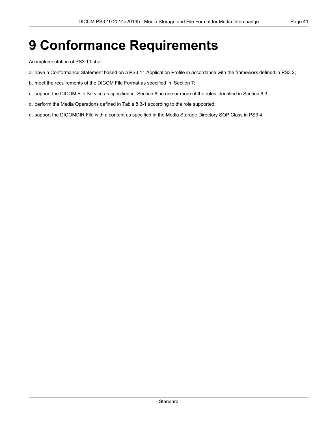# <span id="page-40-0"></span>**9 Conformance Requirements**

An implementation of PS3.10 shall:

- a. have a Conformance Statement based on a [PS3.11](part11.pdf#PS3.11) Application Profile in accordance with the framework defined in [PS3.2](part02.pdf#PS3.2);
- b. meet the requirements of the DICOM File Format as specified in [Section](#page-30-0) 7;
- c. support the DICOM File Service as specified in [Section](#page-34-0) 8, in one or more of the roles identified in [Section](#page-35-1) 8.3;
- d. perform the Media Operations defined in [Table](#page-36-0) 8.3-1 according to the role supported;
- e. support the DICOMDIR File with a content as specified in the Media Storage Directory SOP Class in [PS3.4.](part04.pdf#PS3.4)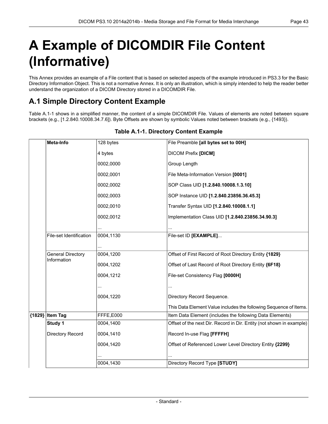# <span id="page-42-0"></span>**A Example of DICOMDIR File Content (Informative)**

<span id="page-42-1"></span>This Annex provides an example of a File content that is based on selected aspects of the example introduced in [PS3.3](part03.pdf#PS3.3) for the Basic Directory Information Object. This is not a normative Annex. It is only an illustration, which is simply intended to help the reader better understand the organization of a DICOM Directory stored in a DICOMDIR File.

### **A.1 Simple Directory Content Example**

<span id="page-42-2"></span>[Table](#page-42-2) A.1-1 shows in a simplified manner, the content of a simple DICOMDIR File. Values of elements are noted between square brackets (e.g., [1.2.840.10008.34.7.6]). Byte Offsets are shown by symbolic Values noted between brackets (e.g., {1493}).

|        | Meta-Info                               | 128 bytes | File Preamble [all bytes set to 00H]                                 |
|--------|-----------------------------------------|-----------|----------------------------------------------------------------------|
|        |                                         | 4 bytes   | <b>DICOM Prefix [DICM]</b>                                           |
|        |                                         | 0002,0000 | Group Length                                                         |
|        |                                         | 0002,0001 | File Meta-Information Version [0001]                                 |
|        |                                         | 0002,0002 | SOP Class UID [1.2.840.10008.1.3.10]                                 |
|        |                                         | 0002,0003 | SOP Instance UID [1.2.840.23856.36.45.3]                             |
|        |                                         | 0002,0010 | Transfer Syntax UID [1.2.840.10008.1.1]                              |
|        |                                         | 0002,0012 | Implementation Class UID [1.2.840.23856.34.90.3]                     |
|        |                                         |           |                                                                      |
|        | <b>File-set Identification</b>          | 0004,1130 | File-set ID [EXAMPLE]                                                |
|        |                                         |           |                                                                      |
|        | <b>General Directory</b><br>Information | 0004,1200 | Offset of First Record of Root Directory Entity {1829}               |
|        |                                         | 0004,1202 | Offset of Last Record of Root Directory Entity {6F18}                |
|        |                                         | 0004,1212 | File-set Consistency Flag [0000H]                                    |
|        |                                         |           |                                                                      |
|        |                                         | 0004,1220 | Directory Record Sequence.                                           |
|        |                                         |           | This Data Element Value includes the following Sequence of Items.    |
| {1829} | <b>Item Tag</b>                         | FFFE,E000 | Item Data Element (includes the following Data Elements)             |
|        | Study 1                                 | 0004,1400 | Offset of the next Dir. Record in Dir. Entity (not shown in example) |
|        | Directory Record                        | 0004,1410 | Record In-use Flag [FFFFH]                                           |
|        |                                         | 0004,1420 | Offset of Referenced Lower Level Directory Entity {2299}             |
|        |                                         |           |                                                                      |
|        |                                         | 0004,1430 | Directory Record Type [STUDY]                                        |

#### **Table A.1-1. Directory Content Example**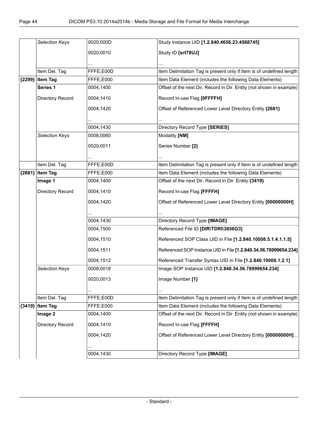|          | Selection Keys    | 0020,000D | Study Instance UID [1.2.840.4656.23.4568745]                         |
|----------|-------------------|-----------|----------------------------------------------------------------------|
|          |                   | 0020,0010 | Study ID [srt78UJ]                                                   |
|          |                   |           |                                                                      |
|          | Item Del. Tag     |           |                                                                      |
|          |                   | FFFE,E00D | Item Delimitation Tag is present only if Item is of undefined length |
| ${2299}$ | <b>Item Tag</b>   | FFFE,E000 | Item Data Element (includes the following Data Elements)             |
|          | Series 1          | 0004,1400 | Offset of the next Dir. Record in Dir. Entity (not shown in example) |
|          | Directory Record  | 0004,1410 | Record In-use Flag [OFFFFH]                                          |
|          |                   | 0004,1420 | Offset of Referenced Lower Level Directory Entity {2681}             |
|          |                   |           |                                                                      |
|          |                   | 0004,1430 | Directory Record Type [SERIES]                                       |
|          | Selection Keys    | 0008,0060 | Modality [NM]                                                        |
|          |                   | 0020,0011 | Series Number [2]                                                    |
|          |                   |           |                                                                      |
|          |                   |           |                                                                      |
|          | Item Del. Tag     | FFFE,E00D | Item Delimitation Tag is present only if Item is of undefined length |
|          | ${2681}$ Item Tag | FFFE,E000 | Item Data Element (includes the following Data Elements)             |
|          | Image 1           | 0004,1400 | Offset of the next Dir. Record in Dir. Entity {3419}                 |
|          | Directory Record  | 0004,1410 | Record In-use Flag [FFFFH]                                           |
|          |                   | 0004,1420 | Offset of Referenced Lower Level Directory Entity [00000000H]        |
|          |                   |           |                                                                      |
|          |                   | 0004,1430 | Directory Record Type [IMAGE]                                        |
|          |                   | 0004,1500 | Referenced File ID [DIR\TDRI\3856G3]                                 |
|          |                   | 0004,1510 | Referenced SOP Class UID in File [1.2.840.10008.5.1.4.1.1.5]         |
|          |                   | 0004,1511 | Referenced SOP Instance UID in File [1.2.840.34.56.78999654.234]     |
|          |                   | 0004,1512 | Referenced Transfer Syntax UID in File [1.2.840.10008.1.2.1]         |
|          | Selection Keys    | 0008,0018 | Image SOP Instance UID [1.2.840.34.56.78999654.234]                  |
|          |                   | 0020,0013 | Image Number [1]                                                     |
|          |                   |           |                                                                      |
|          | Item Del. Tag     | FFFE,E00D | Item Delimitation Tag is present only if Item is of undefined length |
|          | {3419} Item Tag   | FFFE,E000 | Item Data Element (includes the following Data Elements)             |
|          | Image 2           | 0004,1400 | Offset of the next Dir. Record in Dir. Entity (not shown in example) |
|          | Directory Record  | 0004,1410 | Record In-use Flag [FFFFH]                                           |
|          |                   | 0004,1420 | Offset of Referenced Lower Level Directory Entity [00000000H]        |
|          |                   |           |                                                                      |
|          |                   | 0004,1430 | Directory Record Type [IMAGE]                                        |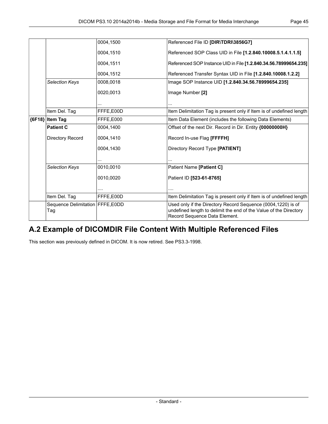|          |                                           | 0004,1500 | Referenced File ID [DIR\TDRI\3856G7]                                                                                                                               |
|----------|-------------------------------------------|-----------|--------------------------------------------------------------------------------------------------------------------------------------------------------------------|
|          |                                           | 0004,1510 | Referenced SOP Class UID in File [1.2.840.10008.5.1.4.1.1.5]                                                                                                       |
|          |                                           | 0004,1511 | Referenced SOP Instance UID in File [1.2.840.34.56.78999654.235]                                                                                                   |
|          |                                           | 0004,1512 | Referenced Transfer Syntax UID in File [1.2.840.10008.1.2.2]                                                                                                       |
|          | <b>Selection Keys</b>                     | 0008,0018 | Image SOP Instance UID [1.2.840.34.56.78999654.235]                                                                                                                |
|          |                                           | 0020,0013 | Image Number [2]                                                                                                                                                   |
|          |                                           |           |                                                                                                                                                                    |
|          | Item Del. Tag                             | FFFE,E00D | Item Delimitation Tag is present only if Item is of undefined length                                                                                               |
| ${6F18}$ | Item Tag                                  | FFFE,E000 | Item Data Element (includes the following Data Elements)                                                                                                           |
|          | <b>Patient C</b>                          | 0004.1400 | Offset of the next Dir. Record in Dir. Entity {00000000H}                                                                                                          |
|          | Directory Record                          | 0004,1410 | Record In-use Flag [FFFFH]                                                                                                                                         |
|          |                                           | 0004,1430 | Directory Record Type [PATIENT]                                                                                                                                    |
|          |                                           |           |                                                                                                                                                                    |
|          | <b>Selection Keys</b>                     | 0010,0010 | Patient Name [Patient C]                                                                                                                                           |
|          |                                           | 0010.0020 | Patient ID [523-61-8765]                                                                                                                                           |
|          |                                           |           | $\cdots$                                                                                                                                                           |
|          | Item Del. Tag                             | FFFE.E00D | Item Delimitation Tag is present only if Item is of undefined length                                                                                               |
|          | Sequence Delimitation   FFFE, E0DD<br>Tag |           | Used only if the Directory Record Sequence (0004,1220) is of<br>undefined length to delimit the end of the Value of the Directory<br>Record Sequence Data Element. |

### <span id="page-44-0"></span>**A.2 Example of DICOMDIR File Content With Multiple Referenced Files**

This section was previously defined in DICOM. It is now retired. See PS3.3-1998.